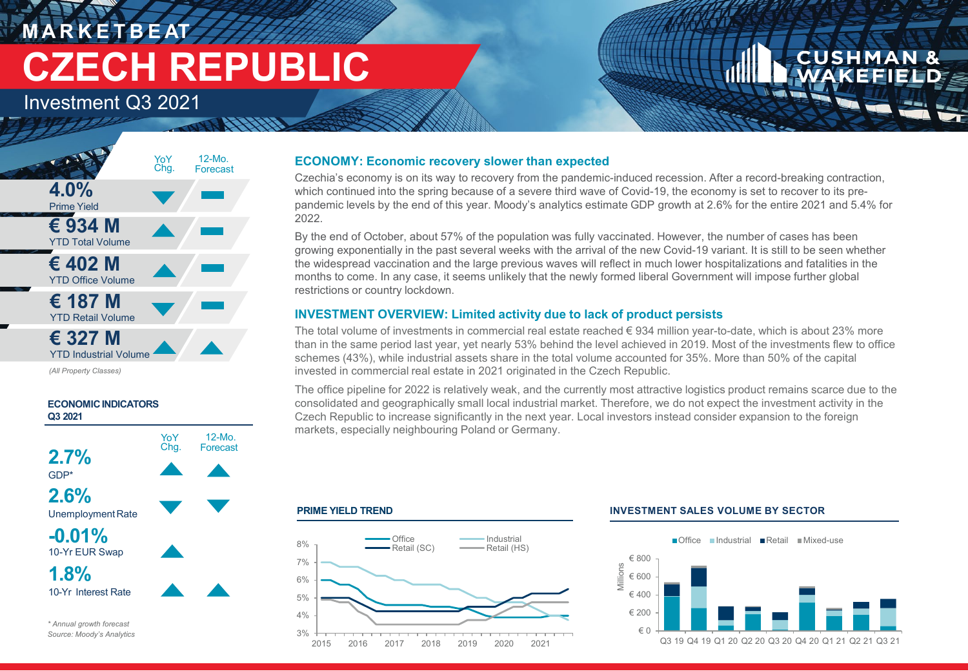# **M A R K E T B E AT CZECH REPUBLIC**

Investment Q3 2021



*(All Property Classes)*



### **ECONOMY: Economic recovery slower than expected**

Czechia's economy is on its way to recovery from the pandemic-induced recession. After a record-breaking contraction, which continued into the spring because of a severe third wave of Covid-19, the economy is set to recover to its prepandemic levels by the end of this year. Moody's analytics estimate GDP growth at 2.6% for the entire 2021 and 5.4% for 2022.

By the end of October, about 57% of the population was fully vaccinated. However, the number of cases has been growing exponentially in the past several weeks with the arrival of the new Covid-19 variant. It is still to be seen whether the widespread vaccination and the large previous waves will reflect in much lower hospitalizations and fatalities in the months to come. In any case, it seems unlikely that the newly formed liberal Government will impose further global restrictions or country lockdown.

## **INVESTMENT OVERVIEW: Limited activity due to lack of product persists**

The total volume of investments in commercial real estate reached € 934 million year-to-date, which is about 23% more than in the same period last year, yet nearly 53% behind the level achieved in 2019. Most of the investments flew to office schemes (43%), while industrial assets share in the total volume accounted for 35%. More than 50% of the capital invested in commercial real estate in 2021 originated in the Czech Republic.

The office pipeline for 2022 is relatively weak, and the currently most attractive logistics product remains scarce due to the consolidated and geographically small local industrial market. Therefore, we do not expect the investment activity in the Czech Republic to increase significantly in the next year. Local investors instead consider expansion to the foreign markets, especially neighbouring Poland or Germany.

#### **PRIME YIELD TREND**



#### **INVESTMENT SALES VOLUME BY SECTOR**